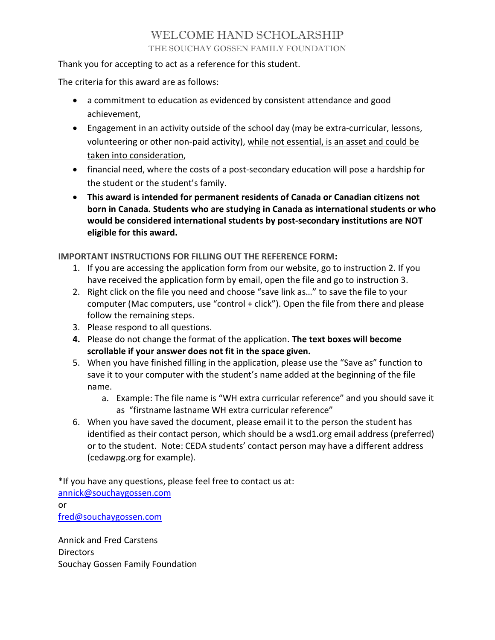## WELCOME HAND SCHOLARSHIP THE SOUCHAY GOSSEN FAMILY FOUNDATION

Thank you for accepting to act as a reference for this student.

The criteria for this award are as follows:

- a commitment to education as evidenced by consistent attendance and good achievement,
- Engagement in an activity outside of the school day (may be extra-curricular, lessons, volunteering or other non-paid activity), while not essential, is an asset and could be taken into consideration,
- financial need, where the costs of a post-secondary education will pose a hardship for the student or the student's family.
- This award is intended for permanent residents of Canada or Canadian citizens not born in Canada. Students who are studying in Canada as international students or who would be considered international students by post-secondary institutions are NOT eligible for this award.

IMPORTANT INSTRUCTIONS FOR FILLING OUT THE REFERENCE FORM:

- 1. If you are accessing the application form from our website, go to instruction 2. If you have received the application form by email, open the file and go to instruction 3.
- 2. Right click on the file you need and choose "save link as…" to save the file to your computer (Mac computers, use "control + click"). Open the file from there and please follow the remaining steps.
- 3. Please respond to all questions.
- 4. Please do not change the format of the application. The text boxes will become scrollable if your answer does not fit in the space given.
- 5. When you have finished filling in the application, please use the "Save as" function to save it to your computer with the student's name added at the beginning of the file name.
	- a. Example: The file name is "WH extra curricular reference" and you should save it as "firstname lastname WH extra curricular reference"
- 6. When you have saved the document, please email it to the person the student has identified as their contact person, which should be a wsd1.org email address (preferred) or to the student. Note: CEDA students' contact person may have a different address (cedawpg.org for example).

\*If you have any questions, please feel free to contact us at: annick@souchaygossen.com or fred@souchaygossen.com

Annick and Fred Carstens **Directors** Souchay Gossen Family Foundation